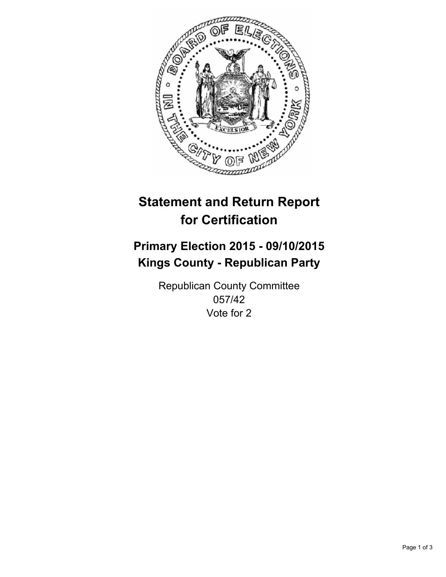

# **Statement and Return Report for Certification**

## **Primary Election 2015 - 09/10/2015 Kings County - Republican Party**

Republican County Committee 057/42 Vote for 2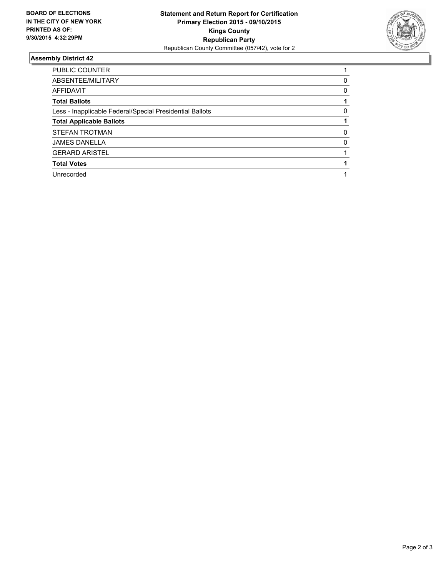

#### **Assembly District 42**

| <b>PUBLIC COUNTER</b>                                    |   |
|----------------------------------------------------------|---|
| ABSENTEE/MILITARY                                        | 0 |
| <b>AFFIDAVIT</b>                                         | 0 |
| <b>Total Ballots</b>                                     |   |
| Less - Inapplicable Federal/Special Presidential Ballots | 0 |
| <b>Total Applicable Ballots</b>                          |   |
| STEFAN TROTMAN                                           | 0 |
| <b>JAMES DANELLA</b>                                     | O |
| <b>GERARD ARISTEL</b>                                    |   |
| <b>Total Votes</b>                                       |   |
| Unrecorded                                               |   |